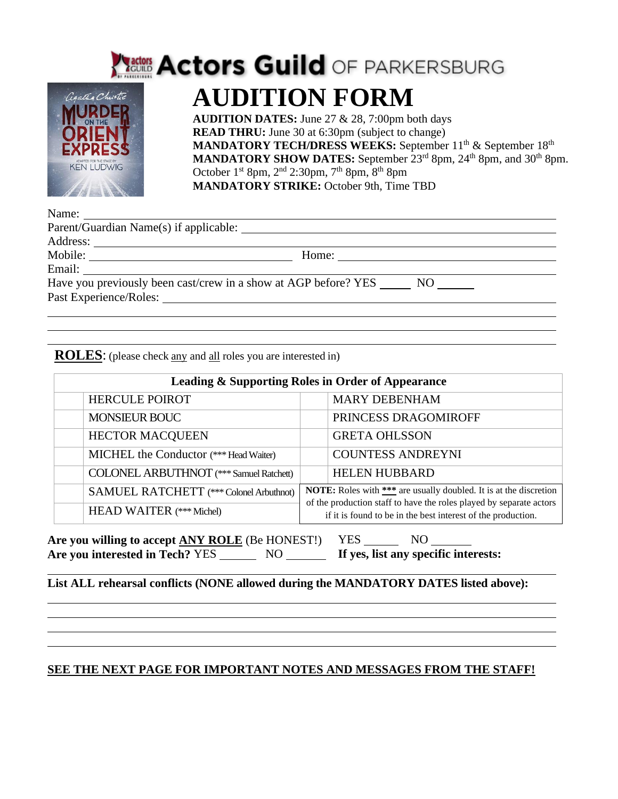

## **Ractors Actors Guild OF PARKERSBURG AUDITION FORM**

**AUDITION DATES:** June 27 & 28, 7:00pm both days **READ THRU:** June 30 at 6:30pm (subject to change) **MANDATORY TECH/DRESS WEEKS:** September 11<sup>th</sup> & September 18<sup>th</sup> MANDATORY SHOW DATES: September 23<sup>rd</sup> 8pm, 24<sup>th</sup> 8pm, and 30<sup>th</sup> 8pm. October  $1^{st}$  8pm,  $2^{nd}$  2:30pm,  $7^{th}$  8pm,  $8^{th}$  8pm **MANDATORY STRIKE:** October 9th, Time TBD

|                                                                                                                                                                                                                                | Home: $\qquad \qquad$                                              |
|--------------------------------------------------------------------------------------------------------------------------------------------------------------------------------------------------------------------------------|--------------------------------------------------------------------|
|                                                                                                                                                                                                                                |                                                                    |
|                                                                                                                                                                                                                                | Have you previously been cast/crew in a show at AGP before? YES NO |
| Past Experience/Roles: Lawrence and Contact Contact Contact Contact Contact Contact Contact Contact Contact Contact Contact Contact Contact Contact Contact Contact Contact Contact Contact Contact Contact Contact Contact Co |                                                                    |
|                                                                                                                                                                                                                                |                                                                    |

**ROLES**: (please check any and all roles you are interested in)

| <b>Leading &amp; Supporting Roles in Order of Appearance</b> |                                                                                                                                                                                                                 |  |
|--------------------------------------------------------------|-----------------------------------------------------------------------------------------------------------------------------------------------------------------------------------------------------------------|--|
| <b>HERCULE POIROT</b>                                        | <b>MARY DEBENHAM</b>                                                                                                                                                                                            |  |
| <b>MONSIEUR BOUC</b>                                         | PRINCESS DRAGOMIROFF                                                                                                                                                                                            |  |
| <b>HECTOR MACQUEEN</b>                                       | <b>GRETA OHLSSON</b>                                                                                                                                                                                            |  |
| MICHEL the Conductor (*** Head Waiter)                       | <b>COUNTESS ANDREYNI</b>                                                                                                                                                                                        |  |
| <b>COLONEL ARBUTHNOT</b> (*** Samuel Ratchett)               | <b>HELEN HUBBARD</b>                                                                                                                                                                                            |  |
| SAMUEL RATCHETT (*** Colonel Arbuthnot)                      | <b>NOTE:</b> Roles with *** are usually doubled. It is at the discretion<br>of the production staff to have the roles played by separate actors<br>if it is found to be in the best interest of the production. |  |
| <b>HEAD WAITER</b> (*** Michel)                              |                                                                                                                                                                                                                 |  |

Are you willing to accept **ANY ROLE** (Be HONEST!) YES NO Are you interested in Tech? YES NO NO **If yes, list any specific interests:** 

**List ALL rehearsal conflicts (NONE allowed during the MANDATORY DATES listed above):** 

#### **SEE THE NEXT PAGE FOR IMPORTANT NOTES AND MESSAGES FROM THE STAFF!**